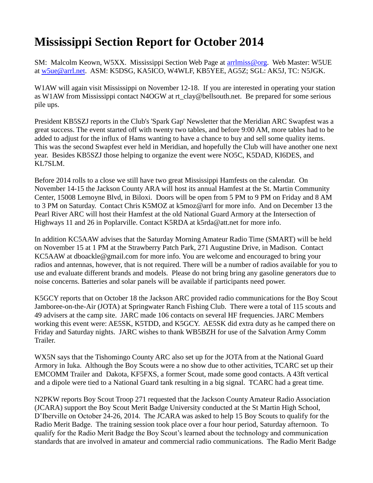## **Mississippi Section Report for October 2014**

SM: Malcolm Keown, W5XX. Mississippi Section Web Page at [arrlmiss@org.](mailto:arrlmiss@org) Web Master: W5UE at [w5ue@arrl.net.](mailto:w5ue@arrl.net) ASM: K5DSG, KA5ICO, W4WLF, KB5YEE, AG5Z; SGL: AK5J, TC: N5JGK.

W1AW will again visit Mississippi on November 12-18. If you are interested in operating your station as W1AW from Mississippi contact N4OGW at [rt\\_clay@bellsouth.net.](mailto:rt_clay@bellsouth.net) Be prepared for some serious pile ups.

President KB5SZJ reports in the Club's 'Spark Gap' Newsletter that the Meridian ARC Swapfest was a great success. The event started off with twenty two tables, and before 9:00 AM, more tables had to be added to adjust for the influx of Hams wanting to have a chance to buy and sell some quality items. This was the second Swapfest ever held in Meridian, and hopefully the Club will have another one next year. Besides KB5SZJ those helping to organize the event were NO5C, K5DAD, KI6DES, and KL7SLM.

Before 2014 rolls to a close we still have two great Mississippi Hamfests on the calendar. On November 14-15 the Jackson County ARA will host its annual Hamfest at the St. Martin Community Center, 15008 Lemoyne Blvd, in Biloxi. Doors will be open from 5 PM to 9 PM on Friday and 8 AM to 3 PM on Saturday. Contact Chris K5MOZ at [k5moz@arrl](mailto:k5moz@arrl) for more info. And on December 13 the Pearl River ARC will host their Hamfest at the old National Guard Armory at the Intersection of Highways 11 and 26 in Poplarville. Contact K5RDA at [k5rda@att.net](mailto:k5rda@att.net) for more info.

In addition KC5AAW advises that the Saturday Morning Amateur Radio Time (SMART) will be held on November 15 at 1 PM at the Strawberry Patch Park, 271 Augustine Drive, in Madison. Contact KC5AAW at [dboackle@gmail.com](mailto:dboackle@gmail.com) for more info. You are welcome and encouraged to bring your radios and antennas, however, that is not required. There will be a number of radios available for you to use and evaluate different brands and models. Please do not bring bring any gasoline generators due to noise concerns. Batteries and solar panels will be available if participants need power.

K5GCY reports that on October 18 the Jackson ARC provided radio communications for the Boy Scout Jamboree-on-the-Air (JOTA) at Springwater Ranch Fishing Club. There were a total of 115 scouts and 49 advisers at the camp site. JARC made 106 contacts on several HF frequencies. JARC Members working this event were: AE5SK, K5TDD, and K5GCY. AE5SK did extra duty as he camped there on Friday and Saturday nights. JARC wishes to thank WB5BZH for use of the Salvation Army Comm Trailer.

WX5N says that the Tishomingo County ARC also set up for the JOTA from at the National Guard Armory in Iuka. Although the Boy Scouts were a no show due to other activities, TCARC set up their EMCOMM Trailer and Dakota, KF5FXS, a former Scout, made some good contacts. A 43ft vertical and a dipole were tied to a National Guard tank resulting in a big signal. TCARC had a great time.

N2PKW reports Boy Scout Troop 271 requested that the Jackson County Amateur Radio Association (JCARA) support the Boy Scout Merit Badge University conducted at the St Martin High School, D'Iberville on October 24-26, 2014. The JCARA was asked to help 15 Boy Scouts to qualify for the Radio Merit Badge. The training session took place over a four hour period, Saturday afternoon. To qualify for the Radio Merit Badge the Boy Scout's learned about the technology and communication standards that are involved in amateur and commercial radio communications. The Radio Merit Badge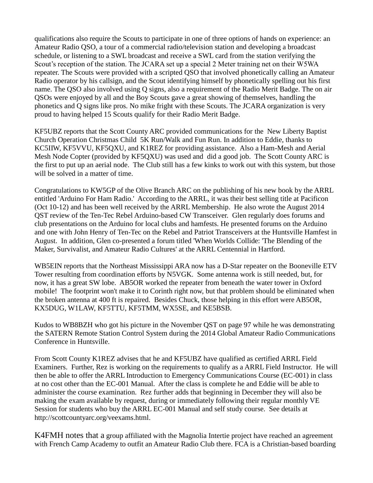qualifications also require the Scouts to participate in one of three options of hands on experience: an Amateur Radio QSO, a tour of a commercial radio/television station and developing a broadcast schedule, or listening to a SWL broadcast and receive a SWL card from the station verifying the Scout's reception of the station. The JCARA set up a special 2 Meter training net on their W5WA repeater. The Scouts were provided with a scripted QSO that involved phonetically calling an Amateur Radio operator by his callsign, and the Scout identifying himself by phonetically spelling out his first name. The QSO also involved using Q signs, also a requirement of the Radio Merit Badge. The on air QSOs were enjoyed by all and the Boy Scouts gave a great showing of themselves, handling the phonetics and Q signs like pros. No mike fright with these Scouts. The JCARA organization is very proud to having helped 15 Scouts qualify for their Radio Merit Badge.

KF5UBZ reports that the Scott County ARC provided communications for the New Liberty Baptist Church Operation Christmas Child 5K Run/Walk and Fun Run. In addition to Eddie, thanks to KC5IIW, KF5VVU, KF5QXU, and K1REZ for providing assistance. Also a Ham-Mesh and Aerial Mesh Node Copter (provided by KF5QXU) was used and did a good job. The Scott County ARC is the first to put up an aerial node. The Club still has a few kinks to work out with this system, but those will be solved in a matter of time.

Congratulations to KW5GP of the Olive Branch ARC on the publishing of his new book by the ARRL entitled 'Arduino For Ham Radio.' According to the ARRL, it was their best selling title at Pacificon (Oct 10-12) and has been well received by the ARRL Membership. He also wrote the August 2014 QST review of the Ten-Tec Rebel Arduino-based CW Transceiver. Glen regularly does forums and club presentations on the Arduino for local clubs and hamfests. He presented forums on the Arduino and one with John Henry of Ten-Tec on the Rebel and Patriot Transceivers at the Huntsville Hamfest in August. In addition, Glen co-presented a forum titled 'When Worlds Collide: 'The Blending of the Maker, Survivalist, and Amateur Radio Cultures' at the ARRL Centennial in Hartford.

WB5EIN reports that the Northeast Mississippi ARA now has a D-Star repeater on the Booneville ETV Tower resulting from coordination efforts by N5VGK. Some antenna work is still needed, but, for now, it has a great SW lobe. AB5OR worked the repeater from beneath the water tower in Oxford mobile! The footprint won't make it to Corinth right now, but that problem should be eliminated when the broken antenna at 400 ft is repaired. Besides Chuck, those helping in this effort were AB5OR, KX5DUG, W1LAW, KF5TTU, KF5TMM, WX5SE, and KE5BSB.

Kudos to WB8BZH who got his picture in the November QST on page 97 while he was demonstrating the SATERN Remote Station Control System during the 2014 Global Amateur Radio Communications Conference in Huntsville.

From Scott County K1REZ advises that he and KF5UBZ have qualified as certified ARRL Field Examiners. Further, Rez is working on the requirements to qualify as a ARRL Field Instructor. He will then be able to offer the ARRL Introduction to Emergency Communications Course (EC-001) in class at no cost other than the EC-001 Manual. After the class is complete he and Eddie will be able to administer the course examination. Rez further adds that beginning in December they will also be making the exam available by request, during or immediately following their regular monthly VE Session for students who buy the ARRL EC-001 Manual and self study course. See details at http://scottcountyarc.org/veexams.html.

K4FMH notes that a group affiliated with the Magnolia Intertie project have reached an agreement with French Camp Academy to outfit an Amateur Radio Club there. FCA is a Christian-based boarding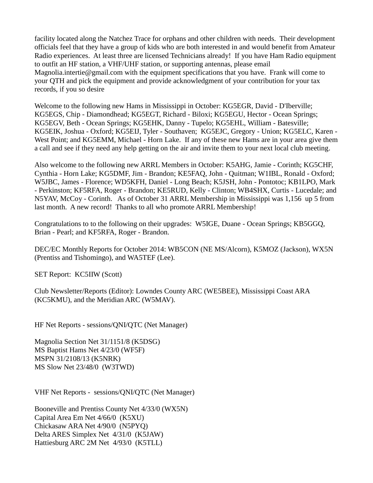facility located along the Natchez Trace for orphans and other children with needs. Their development officials feel that they have a group of kids who are both interested in and would benefit from Amateur Radio experiences. At least three are licensed Technicians already! If you have Ham Radio equipment to outfit an HF station, a VHF/UHF station, or supporting antennas, please email [Magnolia.intertie@gmail.com](mailto:magnolia.intertie@gmail.com) with the equipment specifications that you have. Frank will come to your QTH and pick the equipment and provide acknowledgment of your contribution for your tax records, if you so desire

Welcome to the following new Hams in Mississippi in October: KG5EGR, David - D'Iberville; KG5EGS, Chip - Diamondhead; KG5EGT, Richard - Biloxi; KG5EGU, Hector - Ocean Springs; KG5EGV, Beth - Ocean Springs; KG5EHK, Danny - Tupelo; KG5EHL, William - Batesville; KG5EIK, Joshua - Oxford; KG5EIJ, Tyler - Southaven; KG5EJC, Gregory - Union; KG5ELC, Karen - West Point; and KG5EMM, Michael - Horn Lake. If any of these new Hams are in your area give them a call and see if they need any help getting on the air and invite them to your next local club meeting.

Also welcome to the following new ARRL Members in October: K5AHG, Jamie - Corinth; KG5CHF, Cynthia - Horn Lake; KG5DMF, Jim - Brandon; KE5FAQ, John - Quitman; W1IBL, Ronald - Oxford; W5JBC, James - Florence; WD5KFH, Daniel - Long Beach; K5JSH, John - Pontotoc; KB1LPO, Mark - Perkinston; KF5RFA, Roger - Brandon; KE5RUD, Kelly - Clinton; WB4SHX, Curtis - Lucedale; and N5YAV, McCoy - Corinth. As of October 31 ARRL Membership in Mississippi was 1,156 up 5 from last month. A new record! Thanks to all who promote ARRL Membership!

Congratulations to to the following on their upgrades: W5IGE, Duane - Ocean Springs; KB5GGQ, Brian - Pearl; and KF5RFA, Roger - Brandon.

DEC/EC Monthly Reports for October 2014: WB5CON (NE MS/Alcorn), K5MOZ (Jackson), WX5N (Prentiss and Tishomingo), and WA5TEF (Lee).

SET Report: KC5IIW (Scott)

Club Newsletter/Reports (Editor): Lowndes County ARC (WE5BEE), Mississippi Coast ARA (KC5KMU), and the Meridian ARC (W5MAV).

HF Net Reports - sessions/QNI/QTC (Net Manager)

Magnolia Section Net 31/1151/8 (K5DSG) MS Baptist Hams Net 4/23/0 (WF5F) MSPN 31/2108/13 (K5NRK) MS Slow Net 23/48/0 (W3TWD)

VHF Net Reports - sessions/QNI/QTC (Net Manager)

Booneville and Prentiss County Net 4/33/0 (WX5N) Capital Area Em Net 4/66/0 (K5XU) Chickasaw ARA Net 4/90/0 (N5PYQ) Delta ARES Simplex Net 4/31/0 (K5JAW) Hattiesburg ARC 2M Net 4/93/0 (K5TLL)